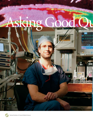# Asking

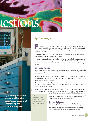# uestions.

*"[Science] is really about asking the right questions and designing the studies properly."* 

#### *By Dan Hogan*

iguring out inventive ways of solving scientific problems is just part of the reason Daniel Sessler can't wait to get to work every day. It's also about figuring out good questions to ask in the first place, then following the unexpected paths those questions can lead to.

"That's why science is so exciting," says Sessler, an anesthesiologist at the University of Louisville School of Medicine in Kentucky.

By asking basic questions about what happens to the human body during surgery and anesthesia, Sessler has challenged conventional medical thinking. And the results of his innovative experiments have already led to big improvements in the health of surgical patients.

#### All in the Family

Sessler traces his scientific roots back to his childhood days, when his parents instilled in him a life-long love of learning. In the Sessler household, curiosity and creativity were daily staples.

"Every night during dinner, we discussed science," says Sessler, recalling growing up in Berkeley, California. His father, a physicist, would usually get things started by asking Sessler and his siblings a question.

"How would you calculate the circumference of the Earth or the distance to the moon?" Sessler remembers. "[My father] supplied the numbers, and then we did the calculations in our heads."

Sessler's mother, who was also a physicist, provided a different kind of inspiration, urging her children to pursue their educational dreams in the face of all obstacles. The

Daniel Sessler is an anesthesiologist at the University of Louisville in Kentucky. Sessler studies how the body reacts to surgery and anesthesia.

JOHN LAIR

child of immigrant parents from the Ukraine, she overcame prejudice to become the first person from her New Jersey high school to attend college, and she eventually became one of the first scientific computer programmers.

#### Doctor Scientist

Growing up, Sessler and his brothers did their fair share of homemade chemistry experiments, resulting in what Sessler remembers jokingly as a satisfying number of minor explosions. He enjoyed chemistry and decided to pursue it as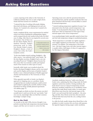a career, majoring in the subject at the University of California, Berkeley. But even as early as high school, Sessler had been turned on to medicine.

"I enjoyed the idea of working with people, helping them deal with disease, and helping prevent and cure diseases. So I wanted to be a doctor, but I wanted to be a scientist, too."

Sessler completed all the course requirements for medical school even before finishing his undergraduate degree, and he jumped directly into medical school after his third year of college. After that, he was inspired by several scien-

tist mentors. One of those was the late Henry Kaplan, then at Stanford University. Kaplan's pioneering work in radiation therapy helped conquer Hodgkin's disease, a form of cancer that strikes the body's lymphatic system.

A disposable blanket and a forced-air heating device can keep patients warm before, during, and after surgery.

"At the time Kaplan started working, Hodgkin's—like other cancers—was uniformly fatal," notes Sessler. "By the time Kaplan was done, Hodgkin's had a cure rate exceeding 90 percent." Hodgkin's disease became the first cancer that was routinely curable and inspired much of the research on other types of cancer.

Ironically, while Sessler was in medical school, his brother developed Hodgkin's disease, and he was treated and cured by Kaplan and his team at Stanford. Sessler's brother is now a National Institutes of Health-supported chemist and biochemist at The University of Texas in Austin.

What appealed especially to Sessler was Kaplan's approach of chipping away at a problem. Sessler recognized that new medical treatments could be developed simply by applying the scientific method: testing hypotheses by doing carefully planned experiments (see sidebar, page 13).

"Even though you think you know the answer, you don't actually know it until you do the test," says Sessler. "And once you do, surprisingly often you find that 'common knowledge' is simply wrong."

#### Out in the Cold

As recently as the mid-1990s, doctors thought it was perfectly normal that body temperature decreased during surgery, and they saw no reason to correct for this.

Operating rooms were cold, the operations themselves increased heat loss, and the anesthetic medicines that were given interfered with the body's normal ability to control its internal temperature.

"I started studying temperature regulation because I was interested in how the body controls temperature," says Sessler. "I was fascinated by this process: How does the body know what its temperature is? How does it keep internal organs at the correct temperature?"

As an anesthesiologist, Sessler especially wanted to know how and why body temperature changes in anesthetized patients.

"Body temperature is normally very tightly regulated more tightly regulated even than heart rate or blood pressure," he explains. The temperature of the body's core —the heart, lungs, brain, and other internal organs is usually within a half degree of where it's supposed to be: 98.6 degrees Fahrenheit.



Anesthetic medicines, however, "really screw that up," Sessler notes, explaining that these drugs make the body's regulatory system less sensitive. During anesthesia, the body doesn't even try to keep its temperature normal. Moreover, anesthetic medicines act as vasodilators, meaning that they make blood vessels widen. As vessels open, blood flows away from the vital internal organs of the body's core and toward the body's periphery—the arms, legs, and skin. Since blood carries heat, this movement of blood takes heat away from the core, cooling it down in the process.

So, while the body usually clamps down blood flow to the periphery in order to protect the core from cold exposure, the opposite happens during surgery under anesthesia.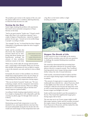The periphery gets warmer at the expense of the core, and the patient suffers from a condition called hypothermia, in which the body becomes too cold.

#### Turning Up the Heat

Sessler began studying this problem with experiments that tested various potential consequences of hypothermia on the body.

"And to my great surprise," Sessler says, "I found a much larger effect than I ever would have expected." Just a couple of degrees of hypothermia—typical for surgical patients 10 years ago—"turned out to do terrible things to people," according to Sessler.

"For example," he says, "we found that less than 4 degrees [Fahrenheit] of hypothermia triples the risk of surgical wound infection."

Sessler and his coworkers also discovered that hypothermia increases blood loss by interfering with blood clotting, and hypothermia prolongs the amount of time anesthetic medicines remain in the body.

Daniel Sessler found that giving patients more oxygen reduced the risk of infection after surgery.

What's more, Sessler adds, the average infected patient stays 1 week longer in the hospital, which can cost more than \$20,000. Such patients are twice as likely to require a stay in the intensive care unit, and they're twice as likely to die.

Fortunately, the answer to these problems was obvious: Simply keep surgical patients warm. No new drugs, no fancy technology. Just the minimal additional cost of maintaining normal body temperature during surgery.

"This was my kind of research," Sessler says. "We were evaluating a simple, risk-free, inexpensive intervention that markedly improved outcome. What we're talking about here is a \$10 treatment with no risk that enormously improves [patient health]."

According to Sessler, keeping surgical patients warm can be as simple as draping them with a disposable, quilt-like covering (see photo, page 10) through which warm air is blown.

"That's all it takes," he says.

Maintaining normal body temperature is now the standard of care, and surgical infection rates have thus decreased substantially during the last decade. But why would such small changes in body temperature have such a big effect on the body's ability to fight invading microbes?



#### Oxygen: The Breath of Life

In their search for clues to shed light on the mystery, Sessler and his coworkers came up with more questions to challenge the standard thinking about anesthesia and surgery.

 thermia could reduce infection by increasing oxygen The researchers demonstrated that preventing hypodelivery directly to surgical wounds. They wondered if giving patients more oxygen during surgery would further reduce the risk of wound infections.

Until recently, conventional medical wisdom said that too much oxygen during surgery would be dangerous to patients.

"The amount of oxygen given to surgical patients has traditionally been relatively low—about 30 percent, which is only slightly more than room air," Sessler notes. "We would give a little bit extra because the lungs don't work as well as normal during anesthesia, but not much more, because oxygen was thought to be toxic."

Sessler and his team decided to put this assumption to the test. They found that supplemental oxygen given during surgery did no harm.

The next step was to see if more oxygen might actually help surgery patients. Sessler and his coworkers increased the oxygen content of the gas surgical patients breathe from 30 percent to 80 percent, and they slashed the risks of surgical infections even further.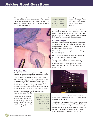### Asking Good Questions

"Medical oxygen is the least expensive drug on Earth," Sessler points out. "It costs a thousandth of a cent per liter: It is 40 times less expensive than tap water! And giving it is absolutely trivial—all you do is turn a knob a little further on the anesthesia machine."





#### A Radical Idea

How does extra oxygen help fight infections? According to Sessler, this part of the mystery is fairly easy to explain.

Earlier laboratory studies had shown that white blood cells called neutrophils use oxygen as ammunition against invading microbes. This "weaponized" oxygen is in the form of free radicals: molecules with unpaired, highly reactive electrons that can damage cells and tissues. Normally, these radicals are hidden in special pouches in neutrophils to keep them from damaging normal tissues.

"In order to fight surgical wound infections, or any

bacterial infection for that matter, a neutrophil must eat bacteria and then kill them," Sessler explains. "And it has to do both. If the neutrophils eat bacteria but don't kill them, the bacteria simply pop out after a while and go back to work."

Daniel Sessler founded a multinational anesthesia research program called Outcomes Research. Many of the clinical studies are done at the University of Louisville Hospital.

White blood cells protect the body from infection by 'swallowing' bacteria (rod-shaped in drawing).

This killing process requires oxygen. According to Sessler, neutrophils convert oxygen into bacteria-killing free radicals.

Sessler and his team are now

conducting more studies to examine other factors that may influence the risk of surgical wound infection. These factors include the effect of nitrous oxide, the most widely used anesthetic medicine, as well as the effect of increasing levels of carbon dioxide in the bloodstream.

#### Keep It Simple

No matter what the study, though, Sessler follows a general principle: Keep it simple. He points out that most of his hypothermia studies were carried out with little more than inexpensive thermometers.

"It's really about asking the right questions and designing the studies properly."

Ultimately, Sessler believes, it's the simple interventions that yield the biggest bang for the buck.

"If you're going to improve [patient] care, the most effective way to do it is to find an intervention that's inexpensive or virtually free, that doesn't have side effects, and that's easy for physicians to implement."



If you meet those criteria, Sessler explains, doctors will quickly adopt the technology, and this will soon lead to better patient outcomes.

While he was a researcher at the University of California, San Francisco, Sessler created a multinational collaboration of clinical scientists called Outcomes Research. Now based at the University of Louisville School of Medicine, the group numbers 65 members in some 20 different academic medical centers scattered over 10 countries.